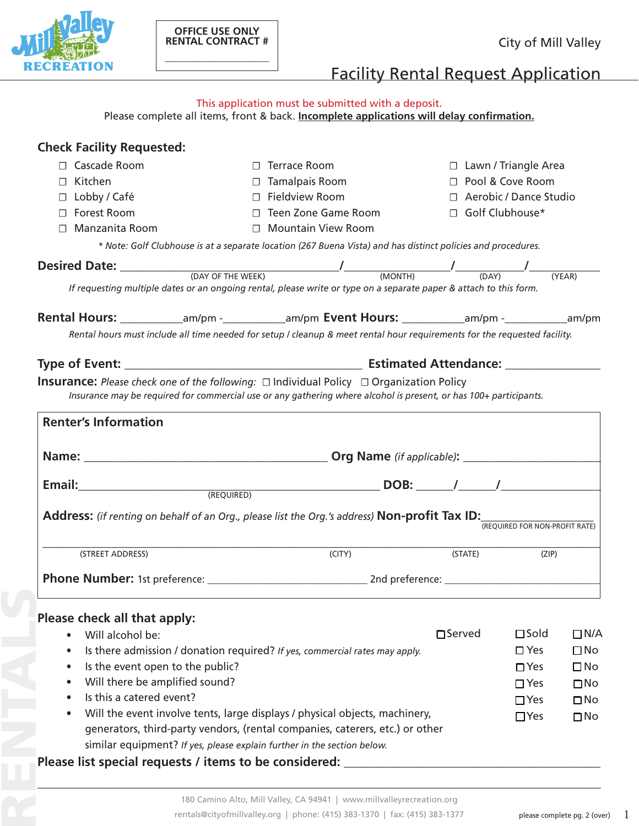

**\_\_\_\_\_\_\_\_\_\_\_\_\_\_\_\_\_\_\_\_**

# Facility Rental Request Application

| This application must be submitted with a deposit. |  |
|----------------------------------------------------|--|
|----------------------------------------------------|--|

Please complete all items, front & back. **Incomplete applications will delay confirmation.**

| <b>Check Facility Requested:</b>                                                                                                                                                                                                                                                                                                                                                                                                                     |                                                                                                          |          |                                                   |              |  |  |
|------------------------------------------------------------------------------------------------------------------------------------------------------------------------------------------------------------------------------------------------------------------------------------------------------------------------------------------------------------------------------------------------------------------------------------------------------|----------------------------------------------------------------------------------------------------------|----------|---------------------------------------------------|--------------|--|--|
| □ Cascade Room<br>$\Box$                                                                                                                                                                                                                                                                                                                                                                                                                             | <b>Terrace Room</b>                                                                                      |          | $\Box$ Lawn / Triangle Area<br>□ Pool & Cove Room |              |  |  |
| □ Kitchen                                                                                                                                                                                                                                                                                                                                                                                                                                            | $\Box$ Tamalpais Room                                                                                    |          |                                                   |              |  |  |
| $\Box$ Fieldview Room<br>$\Box$ Lobby / Café                                                                                                                                                                                                                                                                                                                                                                                                         |                                                                                                          |          | □ Aerobic / Dance Studio                          |              |  |  |
| □ Forest Room                                                                                                                                                                                                                                                                                                                                                                                                                                        | □ Teen Zone Game Room                                                                                    |          | Golf Clubhouse*                                   |              |  |  |
| Manzanita Room                                                                                                                                                                                                                                                                                                                                                                                                                                       | □ Mountain View Room                                                                                     |          |                                                   |              |  |  |
| * Note: Golf Clubhouse is at a separate location (267 Buena Vista) and has distinct policies and procedures.                                                                                                                                                                                                                                                                                                                                         |                                                                                                          |          |                                                   |              |  |  |
| <b>Desired Date:</b> $\frac{1}{(DAY \text{ OF THE WEEK)}$ $\frac{1}{(MONTH)}$ $\frac{1}{(DAY)}$ $\frac{1}{(DAY)}$ $\frac{1}{(YEAR)}$                                                                                                                                                                                                                                                                                                                 |                                                                                                          |          |                                                   |              |  |  |
| If requesting multiple dates or an ongoing rental, please write or type on a separate paper & attach to this form.                                                                                                                                                                                                                                                                                                                                   |                                                                                                          |          |                                                   |              |  |  |
|                                                                                                                                                                                                                                                                                                                                                                                                                                                      |                                                                                                          |          |                                                   |              |  |  |
| <b>Rental Hours:</b> ____________am/pm -___________am/pm Event Hours: __________am/pm -___________am/pm                                                                                                                                                                                                                                                                                                                                              |                                                                                                          |          |                                                   |              |  |  |
| Rental hours must include all time needed for setup I cleanup & meet rental hour requirements for the requested facility.                                                                                                                                                                                                                                                                                                                            |                                                                                                          |          |                                                   |              |  |  |
|                                                                                                                                                                                                                                                                                                                                                                                                                                                      |                                                                                                          |          |                                                   |              |  |  |
|                                                                                                                                                                                                                                                                                                                                                                                                                                                      | <b>Insurance:</b> Please check one of the following: $\Box$ Individual Policy $\Box$ Organization Policy |          |                                                   |              |  |  |
| Insurance may be required for commercial use or any gathering where alcohol is present, or has 100+ participants.                                                                                                                                                                                                                                                                                                                                    |                                                                                                          |          |                                                   |              |  |  |
|                                                                                                                                                                                                                                                                                                                                                                                                                                                      |                                                                                                          |          |                                                   |              |  |  |
| <b>Renter's Information</b>                                                                                                                                                                                                                                                                                                                                                                                                                          |                                                                                                          |          |                                                   |              |  |  |
|                                                                                                                                                                                                                                                                                                                                                                                                                                                      |                                                                                                          |          |                                                   |              |  |  |
|                                                                                                                                                                                                                                                                                                                                                                                                                                                      |                                                                                                          |          |                                                   |              |  |  |
| $\noindent \small \textbf{Email:} \begin{tabular}{c} \textbf{Email:} \end{tabular} \begin{tabular}{c} \textbf{1} & \textbf{1} & \textbf{1} & \textbf{1} & \textbf{1} & \textbf{1} & \textbf{1} & \textbf{1} & \textbf{1} & \textbf{1} & \textbf{1} & \textbf{1} & \textbf{1} & \textbf{1} & \textbf{1} & \textbf{1} & \textbf{1} & \textbf{1} & \textbf{1} & \textbf{1} & \textbf{1} & \textbf{1} & \textbf{1} & \textbf{1} & \textbf{1} & \textbf{$ |                                                                                                          |          |                                                   |              |  |  |
|                                                                                                                                                                                                                                                                                                                                                                                                                                                      |                                                                                                          |          |                                                   |              |  |  |
| <b>Address:</b> (if renting on behalf of an Org., please list the Org.'s address) <b>Non-profit Tax ID:</b>                                                                                                                                                                                                                                                                                                                                          |                                                                                                          |          | (REQUIRED FOR NON-PROFIT RATE)                    |              |  |  |
|                                                                                                                                                                                                                                                                                                                                                                                                                                                      |                                                                                                          |          |                                                   |              |  |  |
| (STREET ADDRESS)                                                                                                                                                                                                                                                                                                                                                                                                                                     | (CITY)                                                                                                   | (STATE)  | (ZIP)                                             |              |  |  |
|                                                                                                                                                                                                                                                                                                                                                                                                                                                      |                                                                                                          |          |                                                   |              |  |  |
|                                                                                                                                                                                                                                                                                                                                                                                                                                                      |                                                                                                          |          |                                                   |              |  |  |
| Please check all that apply:                                                                                                                                                                                                                                                                                                                                                                                                                         |                                                                                                          |          |                                                   |              |  |  |
| Will alcohol be:<br>$\bullet$                                                                                                                                                                                                                                                                                                                                                                                                                        |                                                                                                          | □ Served | $\square$ Sold                                    | $\Box$ N/A   |  |  |
| Is there admission / donation required? If yes, commercial rates may apply.<br>$\bullet$                                                                                                                                                                                                                                                                                                                                                             |                                                                                                          |          | $\square$ Yes                                     | $\square$ No |  |  |
| Is the event open to the public?<br>$\bullet$                                                                                                                                                                                                                                                                                                                                                                                                        |                                                                                                          |          | $\Box$ Yes                                        | $\square$ No |  |  |
| Will there be amplified sound?                                                                                                                                                                                                                                                                                                                                                                                                                       |                                                                                                          |          | $\Box$ Yes                                        | $\square$ No |  |  |
| Is this a catered event?                                                                                                                                                                                                                                                                                                                                                                                                                             |                                                                                                          |          | $\Box$ Yes                                        | $\square$ No |  |  |
| Will the event involve tents, large displays / physical objects, machinery,<br>$\bullet$                                                                                                                                                                                                                                                                                                                                                             |                                                                                                          |          |                                                   |              |  |  |
| $\Box$ Yes<br>$\square$ No<br>generators, third-party vendors, (rental companies, caterers, etc.) or other                                                                                                                                                                                                                                                                                                                                           |                                                                                                          |          |                                                   |              |  |  |
|                                                                                                                                                                                                                                                                                                                                                                                                                                                      |                                                                                                          |          |                                                   |              |  |  |
| similar equipment? If yes, please explain further in the section below.                                                                                                                                                                                                                                                                                                                                                                              |                                                                                                          |          |                                                   |              |  |  |

**\_\_\_\_\_\_\_\_\_\_\_\_\_\_\_\_\_\_\_\_\_\_\_\_\_\_\_\_\_\_\_\_\_\_\_\_\_\_\_\_\_\_\_\_\_\_\_\_\_\_\_\_\_\_\_\_\_\_\_\_\_\_\_\_\_\_\_\_\_\_\_\_\_\_\_\_\_\_\_\_\_\_\_\_\_\_\_\_\_\_**